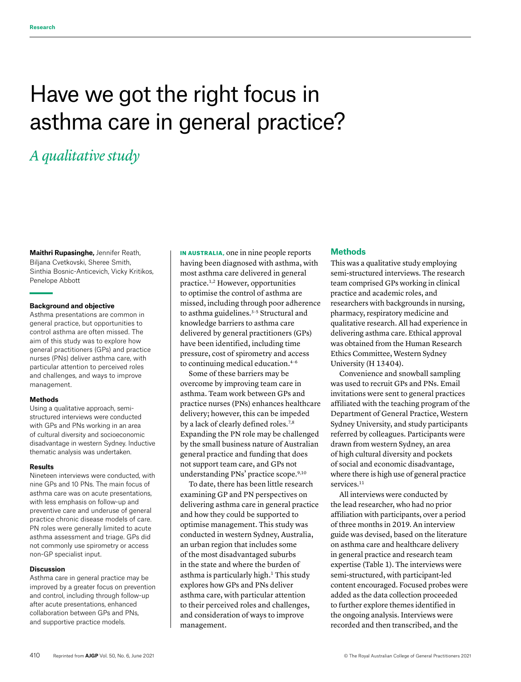# Have we got the right focus in asthma care in general practice?

# *A qualitative study*

**Maithri Rupasinghe,** Jennifer Reath, Biljana Cvetkovski, Sheree Smith, Sinthia Bosnic-Anticevich, Vicky Kritikos, Penelope Abbott

#### **Background and objective**

Asthma presentations are common in general practice, but opportunities to control asthma are often missed. The aim of this study was to explore how general practitioners (GPs) and practice nurses (PNs) deliver asthma care, with particular attention to perceived roles and challenges, and ways to improve management.

### **Methods**

Using a qualitative approach, semistructured interviews were conducted with GPs and PNs working in an area of cultural diversity and socioeconomic disadvantage in western Sydney. Inductive thematic analysis was undertaken.

### **Results**

Nineteen interviews were conducted, with nine GPs and 10 PNs. The main focus of asthma care was on acute presentations, with less emphasis on follow-up and preventive care and underuse of general practice chronic disease models of care. PN roles were generally limited to acute asthma assessment and triage. GPs did not commonly use spirometry or access non-GP specialist input.

### **Discussion**

Asthma care in general practice may be improved by a greater focus on prevention and control, including through follow-up after acute presentations, enhanced collaboration between GPs and PNs, and supportive practice models.

IN AUSTRALIA, one in nine people reports having been diagnosed with asthma, with most asthma care delivered in general practice.1,2 However, opportunities to optimise the control of asthma are missed, including through poor adherence to asthma guidelines.<sup>3-5</sup> Structural and knowledge barriers to asthma care delivered by general practitioners (GPs) have been identified, including time pressure, cost of spirometry and access to continuing medical education.4–6

Some of these barriers may be overcome by improving team care in asthma. Team work between GPs and practice nurses (PNs) enhances healthcare delivery; however, this can be impeded by a lack of clearly defined roles.<sup>7,8</sup> Expanding the PN role may be challenged by the small business nature of Australian general practice and funding that does not support team care, and GPs not understanding PNs' practice scope.<sup>9,10</sup>

To date, there has been little research examining GP and PN perspectives on delivering asthma care in general practice and how they could be supported to optimise management. This study was conducted in western Sydney, Australia, an urban region that includes some of the most disadvantaged suburbs in the state and where the burden of asthma is particularly high.<sup>1</sup> This study explores how GPs and PNs deliver asthma care, with particular attention to their perceived roles and challenges, and consideration of ways to improve management.

# **Methods**

This was a qualitative study employing semi-structured interviews. The research team comprised GPs working in clinical practice and academic roles, and researchers with backgrounds in nursing, pharmacy, respiratory medicine and qualitative research. All had experience in delivering asthma care. Ethical approval was obtained from the Human Research Ethics Committee, Western Sydney University (H 13404).

Convenience and snowball sampling was used to recruit GPs and PNs. Email invitations were sent to general practices affiliated with the teaching program of the Department of General Practice, Western Sydney University, and study participants referred by colleagues. Participants were drawn from western Sydney, an area of high cultural diversity and pockets of social and economic disadvantage, where there is high use of general practice services.<sup>11</sup>

All interviews were conducted by the lead researcher, who had no prior affiliation with participants, over a period of three months in 2019. An interview guide was devised, based on the literature on asthma care and healthcare delivery in general practice and research team expertise (Table 1). The interviews were semi-structured, with participant-led content encouraged. Focused probes were added as the data collection proceeded to further explore themes identified in the ongoing analysis. Interviews were recorded and then transcribed, and the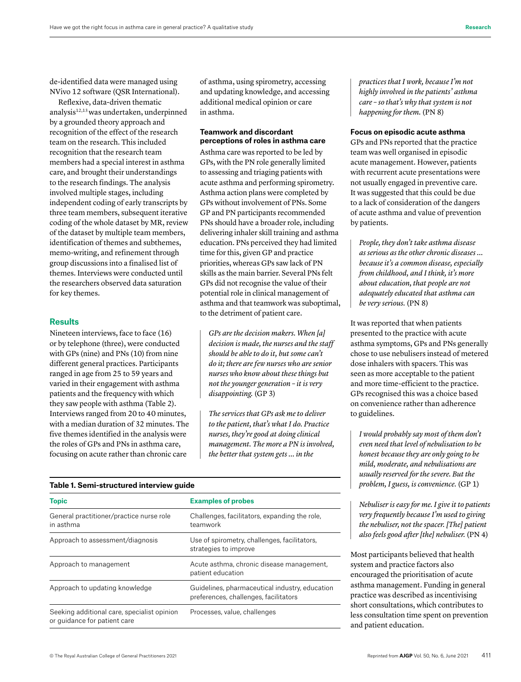de-identified data were managed using NVivo 12 software (QSR International).

Reflexive, data-driven thematic analysis12,13 was undertaken, underpinned by a grounded theory approach and recognition of the effect of the research team on the research. This included recognition that the research team members had a special interest in asthma care, and brought their understandings to the research findings. The analysis involved multiple stages, including independent coding of early transcripts by three team members, subsequent iterative coding of the whole dataset by MR, review of the dataset by multiple team members, identification of themes and subthemes, memo-writing, and refinement through group discussions into a finalised list of themes. Interviews were conducted until the researchers observed data saturation for key themes.

#### **Results**

Nineteen interviews, face to face (16) or by telephone (three), were conducted with GPs (nine) and PNs (10) from nine different general practices. Participants ranged in age from 25 to 59 years and varied in their engagement with asthma patients and the frequency with which they saw people with asthma (Table 2). Interviews ranged from 20 to 40 minutes, with a median duration of 32 minutes. The five themes identified in the analysis were the roles of GPs and PNs in asthma care, focusing on acute rather than chronic care

of asthma, using spirometry, accessing and updating knowledge, and accessing additional medical opinion or care in asthma.

### **Teamwork and discordant perceptions of roles in asthma care**

Asthma care was reported to be led by GPs, with the PN role generally limited to assessing and triaging patients with acute asthma and performing spirometry. Asthma action plans were completed by GPs without involvement of PNs. Some GP and PN participants recommended PNs should have a broader role, including delivering inhaler skill training and asthma education. PNs perceived they had limited time for this, given GP and practice priorities, whereas GPs saw lack of PN skills as the main barrier. Several PNs felt GPs did not recognise the value of their potential role in clinical management of asthma and that teamwork was suboptimal, to the detriment of patient care.

*GPs are the decision makers. When [a] decision is made, the nurses and the staff should be able to do it, but some can't do it; there are few nurses who are senior nurses who know about these things but not the younger generation – it is very disappointing.* (GP 3)

*The services that GPs ask me to deliver to the patient, that's what I do. Practice nurses, they're good at doing clinical management. The more a PN is involved, the better that system gets … in the* 

**Table 1. Semi-structured interview guide**

| <b>Topic</b>                                                                | <b>Examples of probes</b><br>Challenges, facilitators, expanding the role,<br>teamwork  |  |  |  |
|-----------------------------------------------------------------------------|-----------------------------------------------------------------------------------------|--|--|--|
| General practitioner/practice nurse role<br>in asthma                       |                                                                                         |  |  |  |
| Approach to assessment/diagnosis                                            | Use of spirometry, challenges, facilitators,<br>strategies to improve                   |  |  |  |
| Approach to management                                                      | Acute asthma, chronic disease management,<br>patient education                          |  |  |  |
| Approach to updating knowledge                                              | Guidelines, pharmaceutical industry, education<br>preferences, challenges, facilitators |  |  |  |
| Seeking additional care, specialist opinion<br>or quidance for patient care | Processes, value, challenges                                                            |  |  |  |

*practices that I work, because I'm not highly involved in the patients' asthma care – so that's why that system is not happening for them.* (PN 8)

#### **Focus on episodic acute asthma**

GPs and PNs reported that the practice team was well organised in episodic acute management. However, patients with recurrent acute presentations were not usually engaged in preventive care. It was suggested that this could be due to a lack of consideration of the dangers of acute asthma and value of prevention by patients.

*People, they don't take asthma disease as serious as the other chronic diseases … because it's a common disease, especially from childhood, and I think, it's more about education, that people are not adequately educated that asthma can be very serious.* (PN 8)

It was reported that when patients presented to the practice with acute asthma symptoms, GPs and PNs generally chose to use nebulisers instead of metered dose inhalers with spacers. This was seen as more acceptable to the patient and more time-efficient to the practice. GPs recognised this was a choice based on convenience rather than adherence to guidelines.

*I would probably say most of them don't even need that level of nebulisation to be honest because they are only going to be mild, moderate, and nebulisations are usually reserved for the severe. But the problem, I guess, is convenience.* (GP 1)

*Nebuliser is easy for me. I give it to patients very frequently because I'm used to giving the nebuliser, not the spacer. [The] patient also feels good after [the] nebuliser.* (PN 4)

Most participants believed that health system and practice factors also encouraged the prioritisation of acute asthma management. Funding in general practice was described as incentivising short consultations, which contributes to less consultation time spent on prevention and patient education.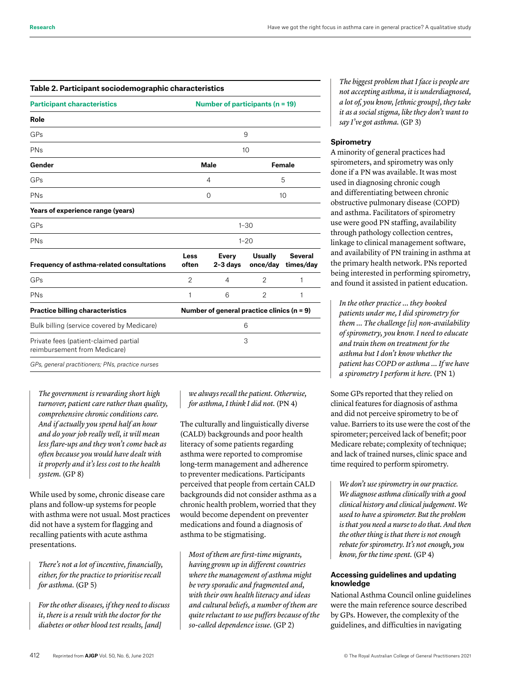#### **Table 2. Participant sociodemographic characteristics**

| <b>Participant characteristics</b>                                    | Number of participants ( $n = 19$ )          |                   |                            |                             |  |
|-----------------------------------------------------------------------|----------------------------------------------|-------------------|----------------------------|-----------------------------|--|
| Role                                                                  |                                              |                   |                            |                             |  |
| GPs                                                                   | 9                                            |                   |                            |                             |  |
| PNs                                                                   | 10                                           |                   |                            |                             |  |
| Gender                                                                | <b>Male</b><br><b>Female</b>                 |                   |                            |                             |  |
| GPs                                                                   | 4                                            |                   | 5                          |                             |  |
| PNs                                                                   | 0                                            |                   | 10                         |                             |  |
| Years of experience range (years)                                     |                                              |                   |                            |                             |  |
| GPs                                                                   | $1 - 30$                                     |                   |                            |                             |  |
| PNs                                                                   | $1 - 20$                                     |                   |                            |                             |  |
| Frequency of asthma-related consultations                             | Less<br>often                                | Every<br>2-3 days | <b>Usually</b><br>once/day | <b>Several</b><br>times/day |  |
| GPs                                                                   | $\overline{2}$                               | 4                 | 2                          | 1                           |  |
| PN <sub>s</sub>                                                       | 1                                            | 6                 | $\overline{2}$             | 1                           |  |
| <b>Practice billing characteristics</b>                               | Number of general practice clinics $(n = 9)$ |                   |                            |                             |  |
| Bulk billing (service covered by Medicare)                            | 6                                            |                   |                            |                             |  |
| Private fees (patient-claimed partial<br>reimbursement from Medicare) | 3                                            |                   |                            |                             |  |
| GPs, general practitioners; PNs, practice nurses                      |                                              |                   |                            |                             |  |

*The government is rewarding short high turnover, patient care rather than quality, comprehensive chronic conditions care. And if actually you spend half an hour and do your job really well, it will mean less flare-ups and they won't come back as often because you would have dealt with it properly and it's less cost to the health system.* (GP 8)

While used by some, chronic disease care plans and follow-up systems for people with asthma were not usual. Most practices did not have a system for flagging and recalling patients with acute asthma presentations.

*There's not a lot of incentive, financially, either, for the practice to prioritise recall for asthma.* (GP 5)

*For the other diseases, if they need to discuss it, there is a result with the doctor for the diabetes or other blood test results, [and]* 

*we always recall the patient. Otherwise, for asthma, I think I did not.* (PN 4)

The culturally and linguistically diverse (CALD) backgrounds and poor health literacy of some patients regarding asthma were reported to compromise long-term management and adherence to preventer medications. Participants perceived that people from certain CALD backgrounds did not consider asthma as a chronic health problem, worried that they would become dependent on preventer medications and found a diagnosis of asthma to be stigmatising.

*Most of them are first-time migrants, having grown up in different countries where the management of asthma might be very sporadic and fragmented and, with their own health literacy and ideas and cultural beliefs, a number of them are quite reluctant to use puffers because of the so-called dependence issue.* (GP 2)

*The biggest problem that I face is people are not accepting asthma, it is underdiagnosed, a lot of, you know, [ethnic groups], they take it as a social stigma, like they don't want to say I've got asthma.* (GP 3)

#### **Spirometry**

A minority of general practices had spirometers, and spirometry was only done if a PN was available. It was most used in diagnosing chronic cough and differentiating between chronic obstructive pulmonary disease (COPD) and asthma. Facilitators of spirometry use were good PN staffing, availability through pathology collection centres, linkage to clinical management software, and availability of PN training in asthma at the primary health network. PNs reported being interested in performing spirometry, and found it assisted in patient education.

*In the other practice … they booked patients under me, I did spirometry for them … The challenge [is] non-availability of spirometry, you know. I need to educate and train them on treatment for the asthma but I don't know whether the patient has COPD or asthma … If we have a spirometry I perform it here.* (PN 1)

Some GPs reported that they relied on clinical features for diagnosis of asthma and did not perceive spirometry to be of value. Barriers to its use were the cost of the spirometer; perceived lack of benefit; poor Medicare rebate; complexity of technique; and lack of trained nurses, clinic space and time required to perform spirometry.

*We don't use spirometry in our practice. We diagnose asthma clinically with a good clinical history and clinical judgement. We used to have a spirometer. But the problem is that you need a nurse to do that. And then the other thing is that there is not enough rebate for spirometry. It's not enough, you know, for the time spent.* (GP 4)

#### **Accessing guidelines and updating knowledge**

National Asthma Council online guidelines were the main reference source described by GPs. However, the complexity of the guidelines, and difficulties in navigating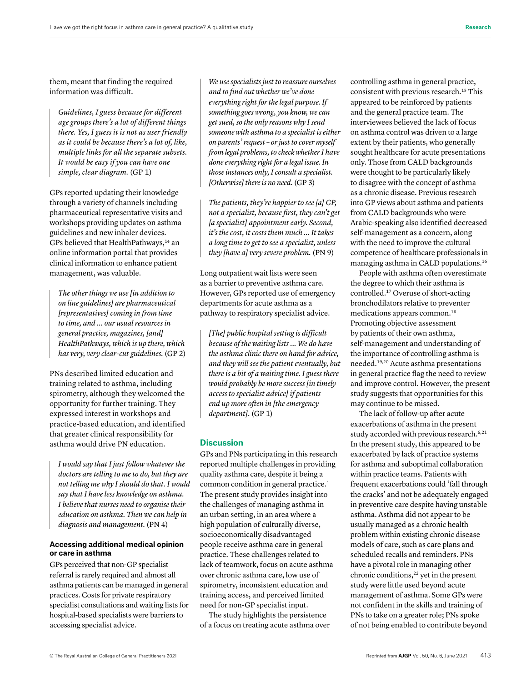them, meant that finding the required information was difficult.

*Guidelines, I guess because for different age groups there's a lot of different things there. Yes, I guess it is not as user friendly as it could be because there's a lot of, like, multiple links for all the separate subsets. It would be easy if you can have one simple, clear diagram.* (GP 1)

GPs reported updating their knowledge through a variety of channels including pharmaceutical representative visits and workshops providing updates on asthma guidelines and new inhaler devices. GPs believed that HealthPathways,<sup>14</sup> an online information portal that provides clinical information to enhance patient management, was valuable.

*The other things we use [in addition to on line guidelines] are pharmaceutical [representatives] coming in from time to time, and … our usual resources in general practice, magazines, [and] HealthPathways, which is up there, which has very, very clear-cut guidelines.* (GP 2)

PNs described limited education and training related to asthma, including spirometry, although they welcomed the opportunity for further training. They expressed interest in workshops and practice-based education, and identified that greater clinical responsibility for asthma would drive PN education.

*I would say that I just follow whatever the doctors are telling to me to do, but they are not telling me why I should do that. I would say that I have less knowledge on asthma. I believe that nurses need to organise their education on asthma. Then we can help in diagnosis and management.* (PN 4)

### **Accessing additional medical opinion or care in asthma**

GPs perceived that non-GP specialist referral is rarely required and almost all asthma patients can be managed in general practices. Costs for private respiratory specialist consultations and waiting lists for hospital-based specialists were barriers to accessing specialist advice.

*We use specialists just to reassure ourselves and to find out whether we've done everything right for the legal purpose. If something goes wrong, you know, we can get sued, so the only reasons why I send someone with asthma to a specialist is either on parents' request – or just to cover myself from legal problems, to check whether I have done everything right for a legal issue. In those instances only, I consult a specialist. [Otherwise] there is no need.* (GP 3)

*The patients, they're happier to see [a] GP, not a specialist, because first, they can't get [a specialist] appointment early. Second, it's the cost, it costs them much … It takes a long time to get to see a specialist, unless they [have a] very severe problem.* (PN 9)

Long outpatient wait lists were seen as a barrier to preventive asthma care. However, GPs reported use of emergency departments for acute asthma as a pathway to respiratory specialist advice.

*[The] public hospital setting is difficult because of the waiting lists ... We do have the asthma clinic there on hand for advice, and they will see the patient eventually, but there is a bit of a waiting time. I guess there would probably be more success [in timely access to specialist advice] if patients end up more often in [the emergency department].* (GP 1)

## **Discussion**

GPs and PNs participating in this research reported multiple challenges in providing quality asthma care, despite it being a common condition in general practice.<sup>1</sup> The present study provides insight into the challenges of managing asthma in an urban setting, in an area where a high population of culturally diverse, socioeconomically disadvantaged people receive asthma care in general practice. These challenges related to lack of teamwork, focus on acute asthma over chronic asthma care, low use of spirometry, inconsistent education and training access, and perceived limited need for non-GP specialist input.

The study highlights the persistence of a focus on treating acute asthma over controlling asthma in general practice, consistent with previous research.<sup>15</sup> This appeared to be reinforced by patients and the general practice team. The interviewees believed the lack of focus on asthma control was driven to a large extent by their patients, who generally sought healthcare for acute presentations only. Those from CALD backgrounds were thought to be particularly likely to disagree with the concept of asthma as a chronic disease. Previous research into GP views about asthma and patients from CALD backgrounds who were Arabic-speaking also identified decreased self-management as a concern, along with the need to improve the cultural competence of healthcare professionals in managing asthma in CALD populations.16

People with asthma often overestimate the degree to which their asthma is controlled.17 Overuse of short-acting bronchodilators relative to preventer medications appears common.<sup>18</sup> Promoting objective assessment by patients of their own asthma, self-management and understanding of the importance of controlling asthma is needed.19,20 Acute asthma presentations in general practice flag the need to review and improve control. However, the present study suggests that opportunities for this may continue to be missed.

The lack of follow-up after acute exacerbations of asthma in the present study accorded with previous research.<sup>6,21</sup> In the present study, this appeared to be exacerbated by lack of practice systems for asthma and suboptimal collaboration within practice teams. Patients with frequent exacerbations could 'fall through the cracks' and not be adequately engaged in preventive care despite having unstable asthma. Asthma did not appear to be usually managed as a chronic health problem within existing chronic disease models of care, such as care plans and scheduled recalls and reminders. PNs have a pivotal role in managing other chronic conditions,<sup>22</sup> yet in the present study were little used beyond acute management of asthma. Some GPs were not confident in the skills and training of PNs to take on a greater role; PNs spoke of not being enabled to contribute beyond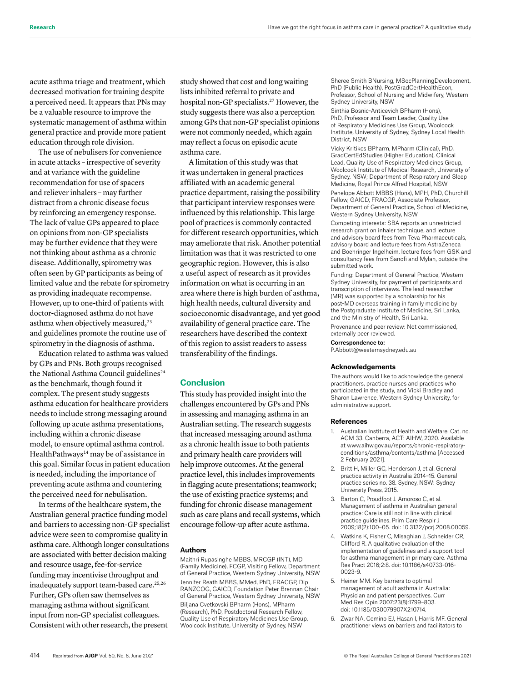acute asthma triage and treatment, which decreased motivation for training despite a perceived need. It appears that PNs may be a valuable resource to improve the systematic management of asthma within general practice and provide more patient education through role division.

The use of nebulisers for convenience in acute attacks – irrespective of severity and at variance with the guideline recommendation for use of spacers and reliever inhalers – may further distract from a chronic disease focus by reinforcing an emergency response. The lack of value GPs appeared to place on opinions from non-GP specialists may be further evidence that they were not thinking about asthma as a chronic disease. Additionally, spirometry was often seen by GP participants as being of limited value and the rebate for spirometry as providing inadequate recompense. However, up to one-third of patients with doctor-diagnosed asthma do not have asthma when objectively measured,<sup>23</sup> and guidelines promote the routine use of spirometry in the diagnosis of asthma.

Education related to asthma was valued by GPs and PNs. Both groups recognised the National Asthma Council guidelines<sup>24</sup> as the benchmark, though found it complex. The present study suggests asthma education for healthcare providers needs to include strong messaging around following up acute asthma presentations, including within a chronic disease model, to ensure optimal asthma control. HealthPathways<sup>14</sup> may be of assistance in this goal. Similar focus in patient education is needed, including the importance of preventing acute asthma and countering the perceived need for nebulisation.

In terms of the healthcare system, the Australian general practice funding model and barriers to accessing non-GP specialist advice were seen to compromise quality in asthma care. Although longer consultations are associated with better decision making and resource usage, fee-for-service funding may incentivise throughput and inadequately support team-based care.<sup>25,26</sup> Further, GPs often saw themselves as managing asthma without significant input from non-GP specialist colleagues. Consistent with other research, the present

study showed that cost and long waiting lists inhibited referral to private and hospital non-GP specialists.<sup>27</sup> However, the study suggests there was also a perception among GPs that non-GP specialist opinions were not commonly needed, which again may reflect a focus on episodic acute asthma care.

A limitation of this study was that it was undertaken in general practices affiliated with an academic general practice department, raising the possibility that participant interview responses were influenced by this relationship. This large pool of practices is commonly contacted for different research opportunities, which may ameliorate that risk. Another potential limitation was that it was restricted to one geographic region. However, this is also a useful aspect of research as it provides information on what is occurring in an area where there is high burden of asthma, high health needs, cultural diversity and socioeconomic disadvantage, and yet good availability of general practice care. The researchers have described the context of this region to assist readers to assess transferability of the findings.

#### **Conclusion**

This study has provided insight into the challenges encountered by GPs and PNs in assessing and managing asthma in an Australian setting. The research suggests that increased messaging around asthma as a chronic health issue to both patients and primary health care providers will help improve outcomes. At the general practice level, this includes improvements in flagging acute presentations; teamwork; the use of existing practice systems; and funding for chronic disease management such as care plans and recall systems, which encourage follow-up after acute asthma.

#### **Authors**

Maithri Rupasinghe MBBS, MRCGP (INT), MD (Family Medicine), FCGP, Visiting Fellow, Department of General Practice, Western Sydney University, NSW Jennifer Reath MBBS, MMed, PhD, FRACGP, Dip RANZCOG, GAICD, Foundation Peter Brennan Chair of General Practice, Western Sydney University, NSW Biljana Cvetkovski BPharm (Hons), MPharm (Research), PhD, Postdoctoral Research Fellow, Quality Use of Respiratory Medicines Use Group, Woolcock Institute, University of Sydney, NSW

Sheree Smith BNursing, MSocPlanningDevelopment, PhD (Public Health), PostGradCertHealthEcon, Professor, School of Nursing and Midwifery, Western Sydney University, NSW

Sinthia Bosnic-Anticevich BPharm (Hons), PhD, Professor and Team Leader, Quality Use of Respiratory Medicines Use Group, Woolcock Institute, University of Sydney, Sydney Local Health District, NSW

Vicky Kritikos BPharm, MPharm (Clinical), PhD, GradCertEdStudies (Higher Education), Clinical Lead, Quality Use of Respiratory Medicines Group, Woolcock Institute of Medical Research, University of Sydney, NSW; Department of Respiratory and Sleep Medicine, Royal Prince Alfred Hospital, NSW

Penelope Abbott MBBS (Hons), MPH, PhD, Churchill Fellow, GAICD, FRACGP, Associate Professor, Department of General Practice, School of Medicine, Western Sydney University, NSW

Competing interests: SBA reports an unrestricted research grant on inhaler technique, and lecture and advisory board fees from Teva Pharmaceuticals, advisory board and lecture fees from AstraZeneca and Boehringer Ingelheim, lecture fees from GSK and consultancy fees from Sanofi and Mylan, outside the submitted work.

Funding: Department of General Practice, Western Sydney University, for payment of participants and transcription of interviews. The lead researcher (MR) was supported by a scholarship for his post-MD overseas training in family medicine by the Postgraduate Institute of Medicine, Sri Lanka, and the Ministry of Health, Sri Lanka. Provenance and peer review: Not commissioned, externally peer reviewed.

Correspondence to:

P.Abbott@westernsydney.edu.au

#### **Acknowledgements**

The authors would like to acknowledge the general practitioners, practice nurses and practices who participated in the study, and Vicki Bradley and Sharon Lawrence, Western Sydney University, for administrative support.

#### **References**

- 1. Australian Institute of Health and Welfare. Cat. no. ACM 33. Canberra, ACT: AIHW, 2020. Available at www.aihw.gov.au/reports/chronic-respiratoryconditions/asthma/contents/asthma [Accessed 2 February 2021].
- 2. Britt H, Miller GC, Henderson J, et al. General practice activity in Australia 2014–15. General practice series no. 38. Sydney, NSW: Sydney University Press, 2015.
- 3. Barton C, Proudfoot J. Amoroso C, et al. Management of asthma in Australian general practice: Care is still not in line with clinical practice guidelines. Prim Care Respir J 2009;18(2):100–05. doi: 10.3132/pcrj.2008.00059.
- 4. Watkins K, Fisher C, Misaghian J, Schneider CR, Clifford R. A qualitative evaluation of the implementation of guidelines and a support tool for asthma management in primary care. Asthma Res Pract 2016;2:8. doi: 10.1186/s40733-016- 0023-9.
- 5. Heiner MM. Key barriers to optimal management of adult asthma in Australia: Physician and patient perspectives. Curr Med Res Opin 2007;23(8):1799–803. doi: 10.1185/030079907X210714.
- 6. Zwar NA, Comino EJ, Hasan I, Harris MF. General practitioner views on barriers and facilitators to